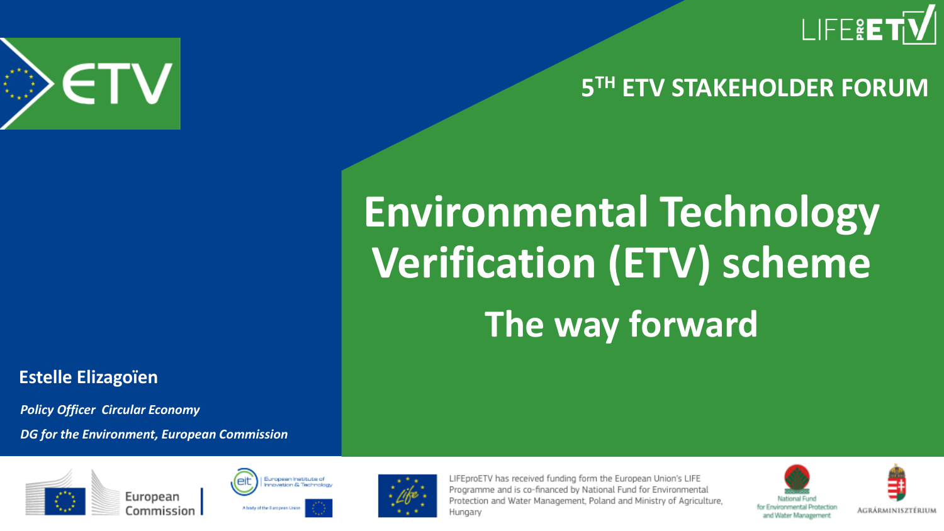

#### **5 TH ETV STAKEHOLDER FORUM**

# **Environmental Technology Verification (ETV) scheme The way forward**

**Estelle Elizagoïen**

ETV

*Policy Officer Circular Economy DG for the Environment, European Commission* 







LIFEproETV has received funding form the European Union's LIFE Programme and is co-financed by National Fund for Environmental Protection and Water Management, Poland and Ministry of Agriculture, Hungary



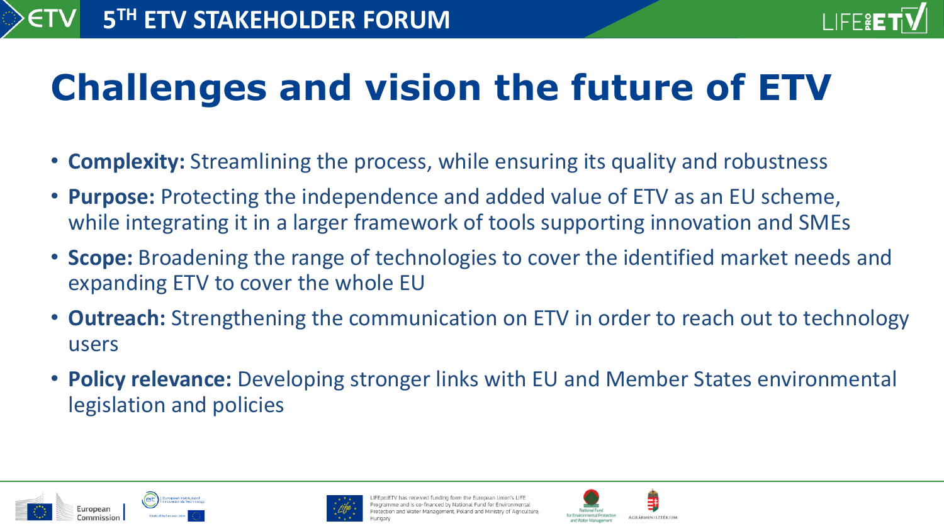

## **Challenges and vision the future of ETV**

- **Complexity:** Streamlining the process, while ensuring its quality and robustness
- **Purpose:** Protecting the independence and added value of ETV as an EU scheme, while integrating it in a larger framework of tools supporting innovation and SMEs
- **Scope:** Broadening the range of technologies to cover the identified market needs and expanding ETV to cover the whole EU
- **Outreach:** Strengthening the communication on ETV in order to reach out to technology users
- **Policy relevance:** Developing stronger links with EU and Member States environmental legislation and policies